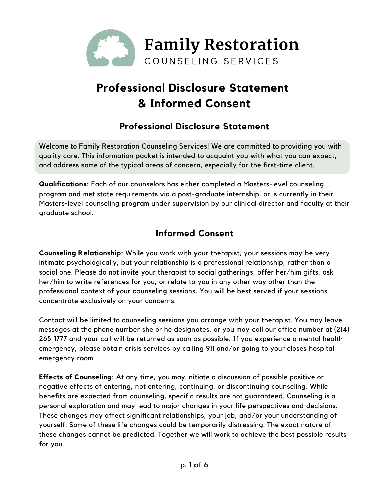

# **Professional Disclosure Statement & Informed Consent**

## **Professional Disclosure Statement**

Welcome to Family Restoration Counseling Services! We are committed to providing you with quality care. This information packet is intended to acquaint you with what you can expect, and address some of the typical areas of concern, especially for the first-time client.

**Qualifications:** Each of our counselors has either completed a Masters-level counseling program and met state requirements via a post-graduate internship, or is currently in their Masters-level counseling program under supervision by our clinical director and faculty at their graduate school.

# **Informed Consent**

**Counseling Relationship:** While you work with your therapist, your sessions may be very intimate psychologically, but your relationship is a professional relationship, rather than a social one. Please do not invite your therapist to social gatherings, offer her/him gifts, ask her/him to write references for you, or relate to you in any other way other than the professional context of your counseling sessions. You will be best served if your sessions concentrate exclusively on your concerns.

Contact will be limited to counseling sessions you arrange with your therapist. You may leave messages at the phone number she or he designates, or you may call our office number at (214) 265-1777 and your call will be returned as soon as possible. If you experience a mental health emergency, please obtain crisis services by calling 911 and/or going to your closes hospital emergency room.

**Effects of Counseling**: At any time, you may initiate a discussion of possible positive or negative effects of entering, not entering, continuing, or discontinuing counseling. While benefits are expected from counseling, specific results are not guaranteed. Counseling is a personal exploration and may lead to major changes in your life perspectives and decisions. These changes may affect significant relationships, your job, and/or your understanding of yourself. Some of these life changes could be temporarily distressing. The exact nature of these changes cannot be predicted. Together we will work to achieve the best possible results for you.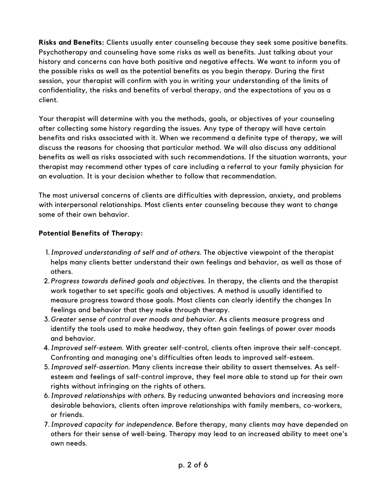**Risks and Benefits:** Clients usually enter counseling because they seek some positive benefits. Psychotherapy and counseling have some risks as well as benefits. Just talking about your history and concerns can have both positive and negative effects. We want to inform you of the possible risks as well as the potential benefits as you begin therapy. During the first session, your therapist will confirm with you in writing your understanding of the limits of confidentiality, the risks and benefits of verbal therapy, and the expectations of you as a client.

Your therapist will determine with you the methods, goals, or objectives of your counseling after collecting some history regarding the issues. Any type of therapy will have certain benefits and risks associated with it. When we recommend a definite type of therapy, we will discuss the reasons for choosing that particular method. We will also discuss any additional benefits as well as risks associated with such recommendations. If the situation warrants, your therapist may recommend other types of care including a referral to your family physician for an evaluation. It is your decision whether to follow that recommendation.

The most universal concerns of clients are difficulties with depression, anxiety, and problems with interpersonal relationships. Most clients enter counseling because they want to change some of their own behavior.

#### **Potential Benefits of Therapy:**

- *Improved understanding of self and of others*. The objective viewpoint of the therapist 1. helps many clients better understand their own feelings and behavior, as well as those of others.
- *Progress towards defined goals and objectives*. In therapy, the clients and the therapist 2. work together to set specific goals and objectives. A method is usually identified to measure progress toward those goals. Most clients can clearly identify the changes In feelings and behavior that they make through therapy.
- *Greater sense of control over moods and behavior.* As clients measure progress and 3. identify the tools used to make headway, they often gain feelings of power over moods and behavior.
- *Improved self-esteem*. With greater self-control, clients often improve their self-concept. 4. Confronting and managing one's difficulties often leads to improved self-esteem.
- *Improved self-assertion*. Many clients increase their ability to assert themselves. As self-5. esteem and feelings of self-control improve, they feel more able to stand up for their own rights without infringing on the rights of others.
- *Improved relationships with others*. By reducing unwanted behaviors and increasing more 6. desirable behaviors, clients often improve relationships with family members, co-workers, or friends.
- *Improved capacity for independence*. Before therapy, many clients may have depended on 7.others for their sense of well-being. Therapy may lead to an increased ability to meet one's own needs.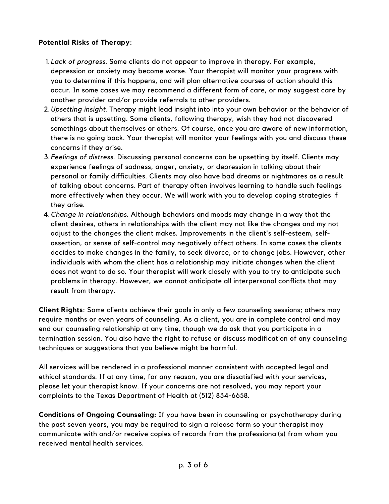#### **Potential Risks of Therapy:**

- *Lack of progress*. Some clients do not appear to improve in therapy. For example, 1. depression or anxiety may become worse. Your therapist will monitor your progress with you to determine if this happens, and will plan alternative courses of action should this occur. In some cases we may recommend a different form of care, or may suggest care by another provider and/or provide referrals to other providers.
- *Upsetting insight*. Therapy might lead insight into into your own behavior or the behavior of 2. others that is upsetting. Some clients, following therapy, wish they had not discovered somethings about themselves or others. Of course, once you are aware of new information, there is no going back. Your therapist will monitor your feelings with you and discuss these concerns if they arise.
- *Feelings of distress*. Discussing personal concerns can be upsetting by itself. Clients may 3. experience feelings of sadness, anger, anxiety, or depression in talking about their personal or family difficulties. Clients may also have bad dreams or nightmares as a result of talking about concerns. Part of therapy often involves learning to handle such feelings more effectively when they occur. We will work with you to develop coping strategies if they arise.
- *Change in relationships*. Although behaviors and moods may change in a way that the 4. client desires, others in relationships with the client may not like the changes and my not adjust to the changes the client makes. Improvements in the client's self-esteem, selfassertion, or sense of self-control may negatively affect others. In some cases the clients decides to make changes in the family, to seek divorce, or to change jobs. However, other individuals with whom the client has a relationship may initiate changes when the client does not want to do so. Your therapist will work closely with you to try to anticipate such problems in therapy. However, we cannot anticipate all interpersonal conflicts that may result from therapy.

**Client Rights**: Some clients achieve their goals in only a few counseling sessions; others may require months or even years of counseling. As a client, you are in complete control and may end our counseling relationship at any time, though we do ask that you participate in a termination session. You also have the right to refuse or discuss modification of any counseling techniques or suggestions that you believe might be harmful.

All services will be rendered in a professional manner consistent with accepted legal and ethical standards. If at any time, for any reason, you are dissatisfied with your services, please let your therapist know. If your concerns are not resolved, you may report your complaints to the Texas Department of Health at (512) 834-6658.

**Conditions of Ongoing Counseling:** If you have been in counseling or psychotherapy during the past seven years, you may be required to sign a release form so your therapist may communicate with and/or receive copies of records from the professional(s) from whom you received mental health services.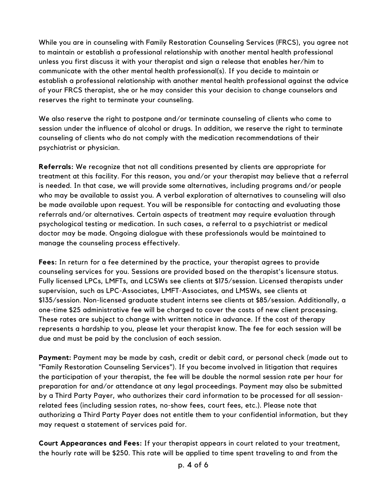While you are in counseling with Family Restoration Counseling Services (FRCS), you agree not to maintain or establish a professional relationship with another mental health professional unless you first discuss it with your therapist and sign a release that enables her/him to communicate with the other mental health professional(s). If you decide to maintain or establish a professional relationship with another mental health professional against the advice of your FRCS therapist, she or he may consider this your decision to change counselors and reserves the right to terminate your counseling.

We also reserve the right to postpone and/or terminate counseling of clients who come to session under the influence of alcohol or drugs. In addition, we reserve the right to terminate counseling of clients who do not comply with the medication recommendations of their psychiatrist or physician.

**Referrals:** We recognize that not all conditions presented by clients are appropriate for treatment at this facility. For this reason, you and/or your therapist may believe that a referral is needed. In that case, we will provide some alternatives, including programs and/or people who may be available to assist you. A verbal exploration of alternatives to counseling will also be made available upon request. You will be responsible for contacting and evaluating those referrals and/or alternatives. Certain aspects of treatment may require evaluation through psychological testing or medication. In such cases, a referral to a psychiatrist or medical doctor may be made. Ongoing dialogue with these professionals would be maintained to manage the counseling process effectively.

**Fees:** In return for a fee determined by the practice, your therapist agrees to provide counseling services for you. Sessions are provided based on the therapist's licensure status. Fully licensed LPCs, LMFTs, and LCSWs see clients at \$175/session. Licensed therapists under supervision, such as LPC-Associates, LMFT-Associates, and LMSWs, see clients at \$135/session. Non-licensed graduate student interns see clients at \$85/session. Additionally, a one-time \$25 administrative fee will be charged to cover the costs of new client processing. These rates are subject to change with written notice in advance. If the cost of therapy represents a hardship to you, please let your therapist know. The fee for each session will be due and must be paid by the conclusion of each session.

**Payment:** Payment may be made by cash, credit or debit card, or personal check (made out to "Family Restoration Counseling Services"). If you become involved in litigation that requires the participation of your therapist, the fee will be double the normal session rate per hour for preparation for and/or attendance at any legal proceedings. Payment may also be submitted by a Third Party Payer, who authorizes their card information to be processed for all sessionrelated fees (including session rates, no-show fees, court fees, etc.). Please note that authorizing a Third Party Payer does not entitle them to your confidential information, but they may request a statement of services paid for.

**Court Appearances and Fees:** If your therapist appears in court related to your treatment, the hourly rate will be \$250. This rate will be applied to time spent traveling to and from the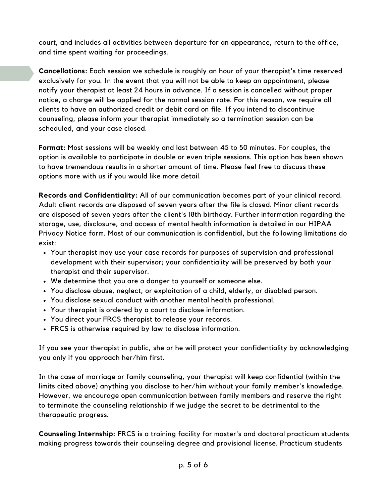court, and includes all activities between departure for an appearance, return to the office, and time spent waiting for proceedings.

**Cancellations:** Each session we schedule is roughly an hour of your therapist's time reserved exclusively for you. In the event that you will not be able to keep an appointment, please notify your therapist at least 24 hours in advance. If a session is cancelled without proper notice, a charge will be applied for the normal session rate. For this reason, we require all clients to have an authorized credit or debit card on file. If you intend to discontinue counseling, please inform your therapist immediately so a termination session can be scheduled, and your case closed.

**Format:** Most sessions will be weekly and last between 45 to 50 minutes. For couples, the option is available to participate in double or even triple sessions. This option has been shown to have tremendous results in a shorter amount of time. Please feel free to discuss these options more with us if you would like more detail.

**Records and Confidentiality:** All of our communication becomes part of your clinical record. Adult client records are disposed of seven years after the file is closed. Minor client records are disposed of seven years after the client's 18th birthday. Further information regarding the storage, use, disclosure, and access of mental health information is detailed in our HIPAA Privacy Notice form. Most of our communication is confidential, but the following limitations do exist:

- Your therapist may use your case records for purposes of supervision and professional development with their supervisor; your confidentiality will be preserved by both your therapist and their supervisor.
- We determine that you are a danger to yourself or someone else.
- You disclose abuse, neglect, or exploitation of a child, elderly, or disabled person.
- You disclose sexual conduct with another mental health professional.
- Your therapist is ordered by a court to disclose information.
- You direct your FRCS therapist to release your records.
- FRCS is otherwise required by law to disclose information.

If you see your therapist in public, she or he will protect your confidentiality by acknowledging you only if you approach her/him first.

In the case of marriage or family counseling, your therapist will keep confidential (within the limits cited above) anything you disclose to her/him without your family member's knowledge. However, we encourage open communication between family members and reserve the right to terminate the counseling relationship if we judge the secret to be detrimental to the therapeutic progress.

**Counseling Internship:** FRCS is a training facility for master's and doctoral practicum students making progress towards their counseling degree and provisional license. Practicum students